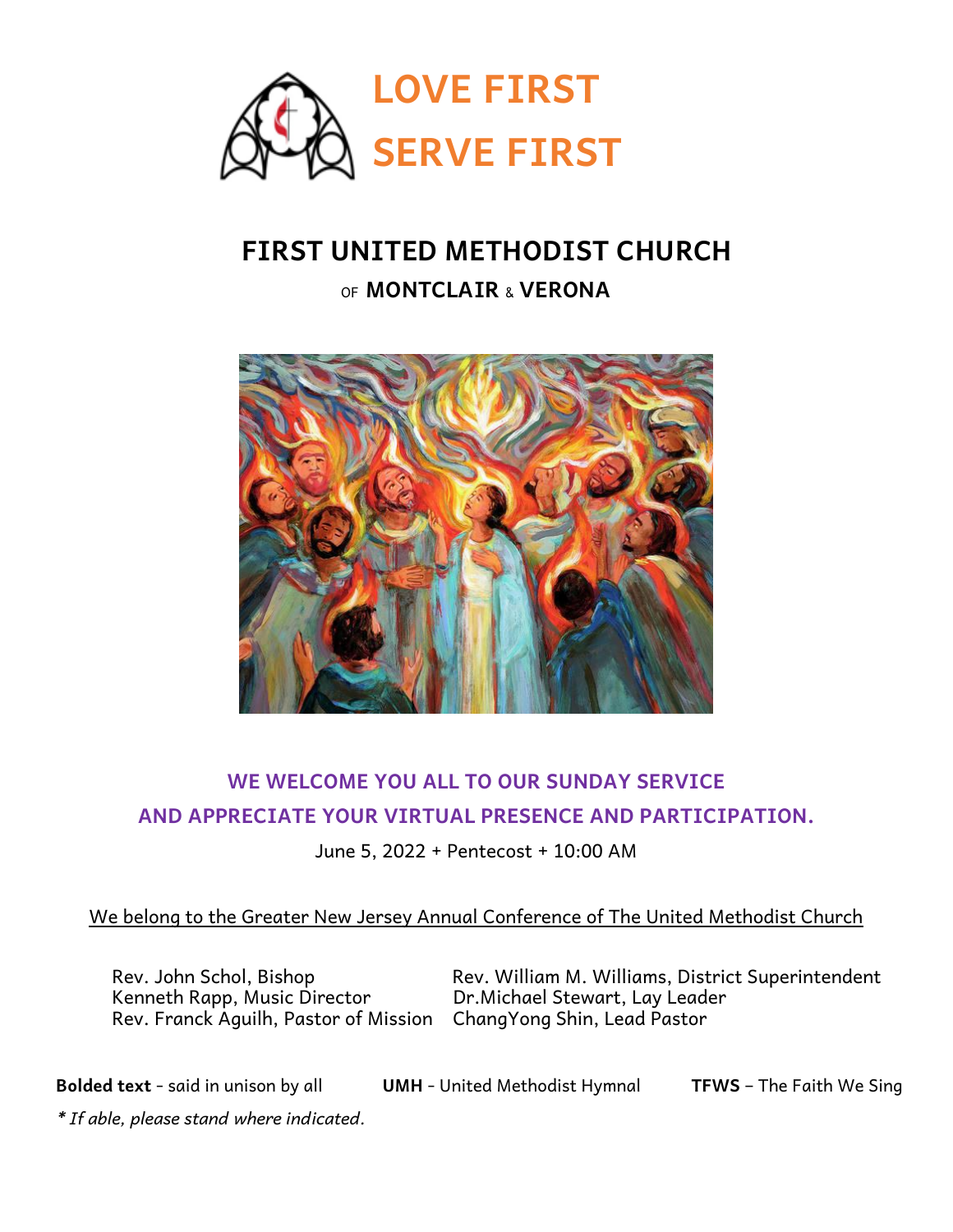

# **FIRST UNITED METHODIST CHURCH**

## OF **MONTCLAIR** & **VERONA**



## **WE WELCOME YOU ALL TO OUR SUNDAY SERVICE AND APPRECIATE YOUR VIRTUAL PRESENCE AND PARTICIPATION.**

June 5, 2022 + Pentecost + 10:00 AM

#### We belong to the Greater New Jersey Annual Conference of The United Methodist Church

Rev. Franck Aguilh, Pastor of Mission ChangYong Shin, Lead Pastor

Rev. John Schol, Bishop Rev. William M. Williams, District Superintendent<br>Kenneth Rapp, Music Director Dr. Michael Stewart, Lay Leader Dr.Michael Stewart, Lay Leader

**Bolded text** - said in unison by all **UMH** - United Methodist Hymnal **TFWS** – The Faith We Sing

*\* If able, please stand where indicated.*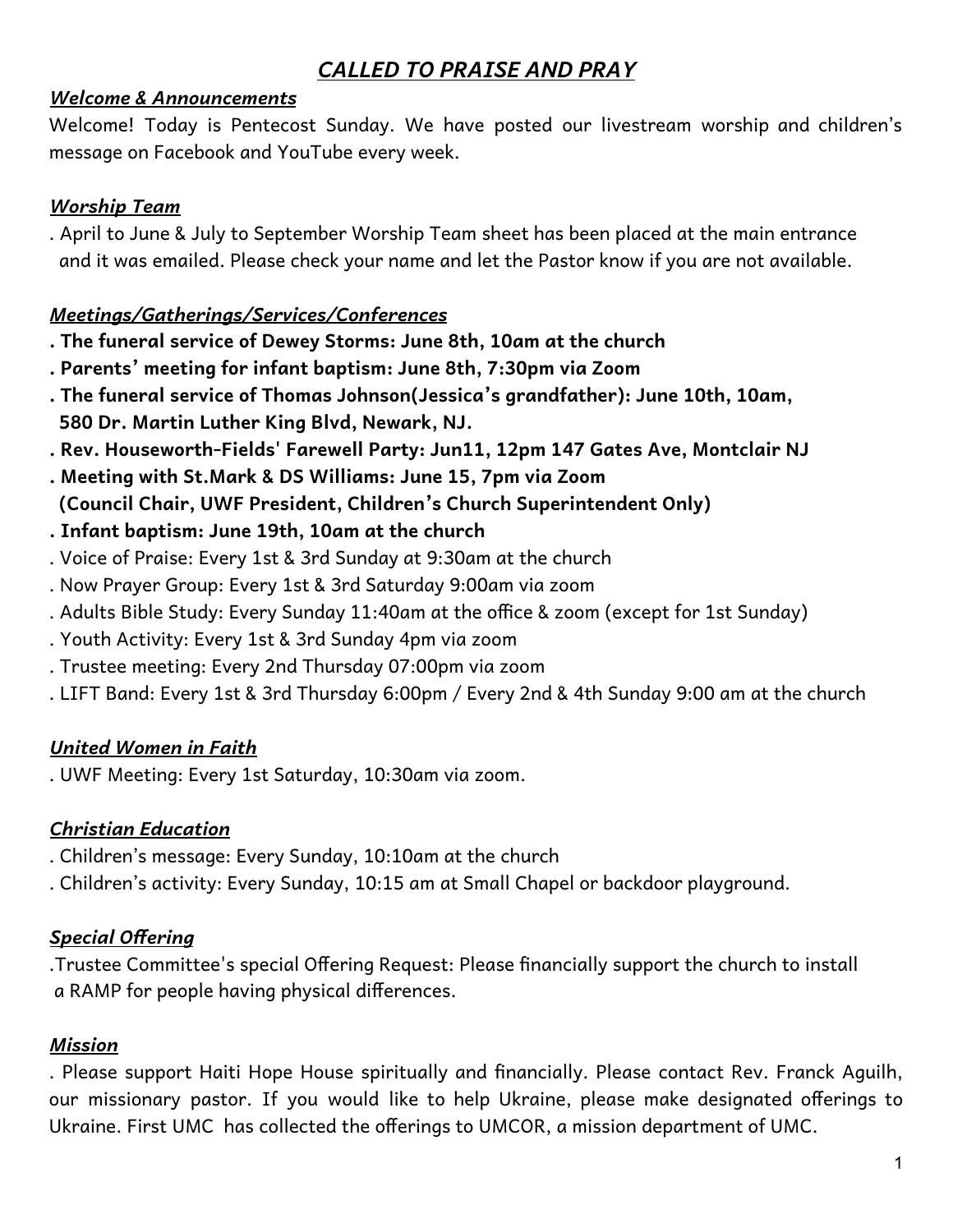## *CALLED TO PRAISE AND PRAY*

#### *Welcome & Announcements*

Welcome! Today is Pentecost Sunday. We have posted our livestream worship and children's message on Facebook and YouTube every week.

#### *Worship Team*

. April to June & July to September Worship Team sheet has been placed at the main entrance and it was emailed. Please check your name and let the Pastor know if you are not available.

#### *Meetings/Gatherings/Services/Conferences*

- **. The funeral service of Dewey Storms: June 8th, 10am at the church**
- **. Parents' meeting for infant baptism: June 8th, 7:30pm via Zoom**
- **. The funeral service of Thomas Johnson(Jessica's grandfather): June 10th, 10am, 580 Dr. Martin Luther King Blvd, Newark, NJ.**
- **. Rev. Houseworth-Fields' Farewell Party: Jun11, 12pm 147 Gates Ave, Montclair NJ**
- **. Meeting with St.Mark & DS Williams: June 15, 7pm via Zoom**
- **(Council Chair, UWF President, Children's Church Superintendent Only)**
- **. Infant baptism: June 19th, 10am at the church**
- . Voice of Praise: Every 1st & 3rd Sunday at 9:30am at the church
- . Now Prayer Group: Every 1st & 3rd Saturday 9:00am via zoom
- . Adults Bible Study: Every Sunday 11:40am at the office & zoom (except for 1st Sunday)
- . Youth Activity: Every 1st & 3rd Sunday 4pm via zoom
- . Trustee meeting: Every 2nd Thursday 07:00pm via zoom
- . LIFT Band: Every 1st & 3rd Thursday 6:00pm / Every 2nd & 4th Sunday 9:00 am at the church

## *United Women in Faith*

. UWF Meeting: Every 1st Saturday, 10:30am via zoom.

#### *Christian Education*

- . Children's message: Every Sunday, 10:10am at the church
- . Children's activity: Every Sunday, 10:15 am at Small Chapel or backdoor playground.

## *Special Offering*

.Trustee Committee's special Offering Request: Please financially support the church to install a RAMP for people having physical differences.

## *Mission*

. Please support Haiti Hope House spiritually and financially. Please contact Rev. Franck Aguilh, our missionary pastor. If you would like to help Ukraine, please make designated offerings to Ukraine. First UMC has collected the offerings to UMCOR, a mission department of UMC.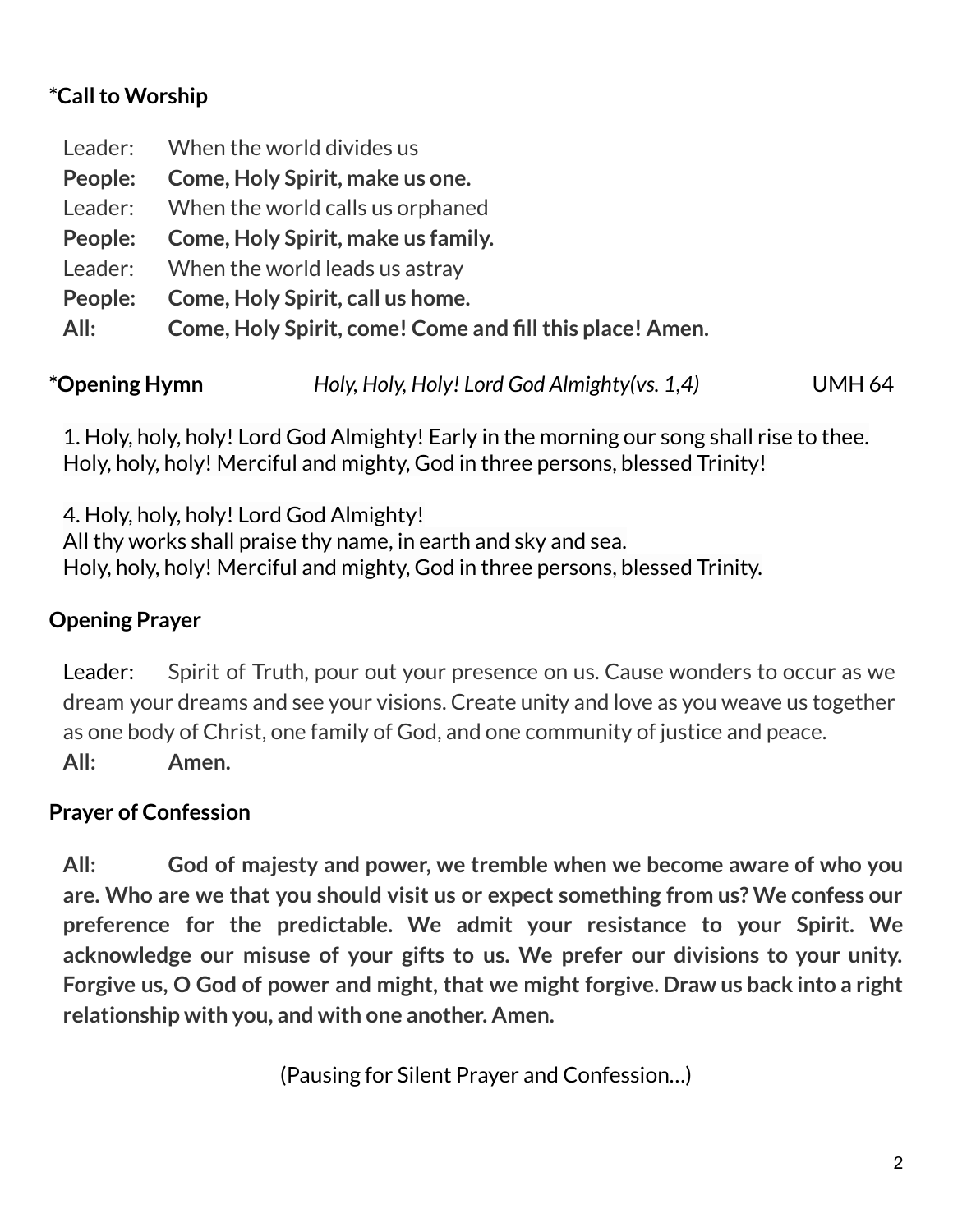## **\*Callto Worship**

| Leader: | When the world divides us          |  |
|---------|------------------------------------|--|
| People: | Come, Holy Spirit, make us one.    |  |
| Leader: | When the world calls us orphaned   |  |
| People: | Come, Holy Spirit, make us family. |  |
| Leader: | When the world leads us astray     |  |

**People: Come, Holy Spirit, call us home.**

**All: Come, Holy Spirit, come! Come and fillthis place! Amen.**

| *Opening Hymn | Holy, Holy, Holy! Lord God Almighty(vs. 1,4) | <b>UMH 64</b> |
|---------------|----------------------------------------------|---------------|
|               |                                              |               |

1. Holy, holy, holy! Lord God Almighty! Early in the morning our song shall rise to thee. Holy, holy, holy! Merciful and mighty, God in three persons, blessed Trinity!

4. Holy, holy, holy! Lord God Almighty!

All thy works shall praise thy name, in earth and sky and sea. Holy, holy, holy! Merciful and mighty, God in three persons, blessed Trinity.

## **Opening Prayer**

Leader: Spirit of Truth, pour out your presence on us. Cause wonders to occur as we dream your dreams and see your visions. Create unity and love as you weave us together as one body of Christ, one family of God, and one community of justice and peace.

**All: Amen.**

## **Prayer of Confession**

**All: God of majesty and power, we tremble when we become aware of who you are. Who are we that you should visit us or expect something from us? We confess our preference for the predictable. We admit your resistance to your Spirit. We acknowledge our misuse of your gifts to us. We prefer our divisions to your unity. Forgive us, O God of power and might, that we might forgive. Draw us back into a right relationship with you, and with one another. Amen.**

(Pausing for Silent Prayer and Confession…)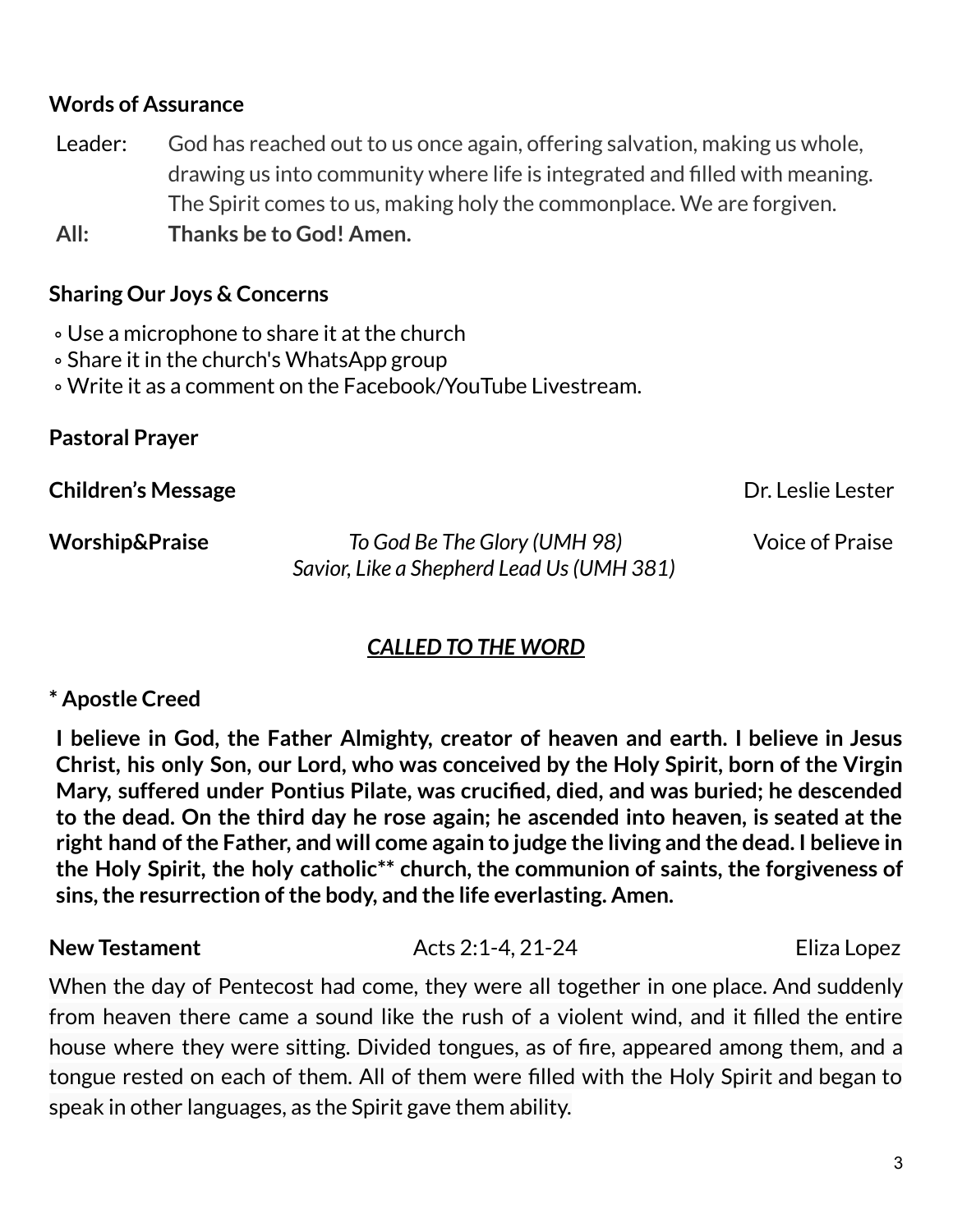## **Words of Assurance**

Leader: God has reached out to us once again, offering salvation, making us whole, drawing us into community where life is integrated and filled with meaning. The Spirit comes to us, making holy the commonplace. We are forgiven.

**All: Thanks be to God! Amen.**

## **Sharing Our Joys & Concerns**

- ৹ Use a microphone to share it at the church
- ৹ Share it in the church's WhatsApp group
- ৹ Write it as a comment on the Facebook/YouTube Livestream.

#### **Pastoral Prayer**

**Children's Message** Dr. Leslie Lester

**Worship&Praise** *To God Be The Glory (UMH 98)* Voice of Praise *Savior, Like a Shepherd Lead Us(UMH 381)*

## *CALLED TO THE WORD*

## **\* Apostle Creed**

**I believe in God, the Father Almighty, creator of heaven and earth. I believe in Jesus Christ, his only Son, our Lord, who was conceived by the Holy Spirit, born of the Virgin Mary, suffered under Pontius Pilate, was crucified, died, and was buried; he descended to the dead. On the third day he rose again; he ascended into heaven, is seated at the right hand ofthe Father, and will come again to judge the living and the dead. I believe in the Holy Spirit, the holy catholic\*\* church, the communion of saints, the forgiveness of sins,the resurrection ofthe body, and the life everlasting. Amen.**

**New Testament** Acts 2:1-4, 21-24 Eliza Lopez

When the day of Pentecost had come, they were all together in one place. And suddenly from heaven there came a sound like the rush of a violent wind, and it filled the entire house where they were sitting. Divided tongues, as of fire, appeared among them, and a tongue rested on each of them. All of them were filled with the Holy Spirit and began to speak in other languages, as the Spirit gave them ability.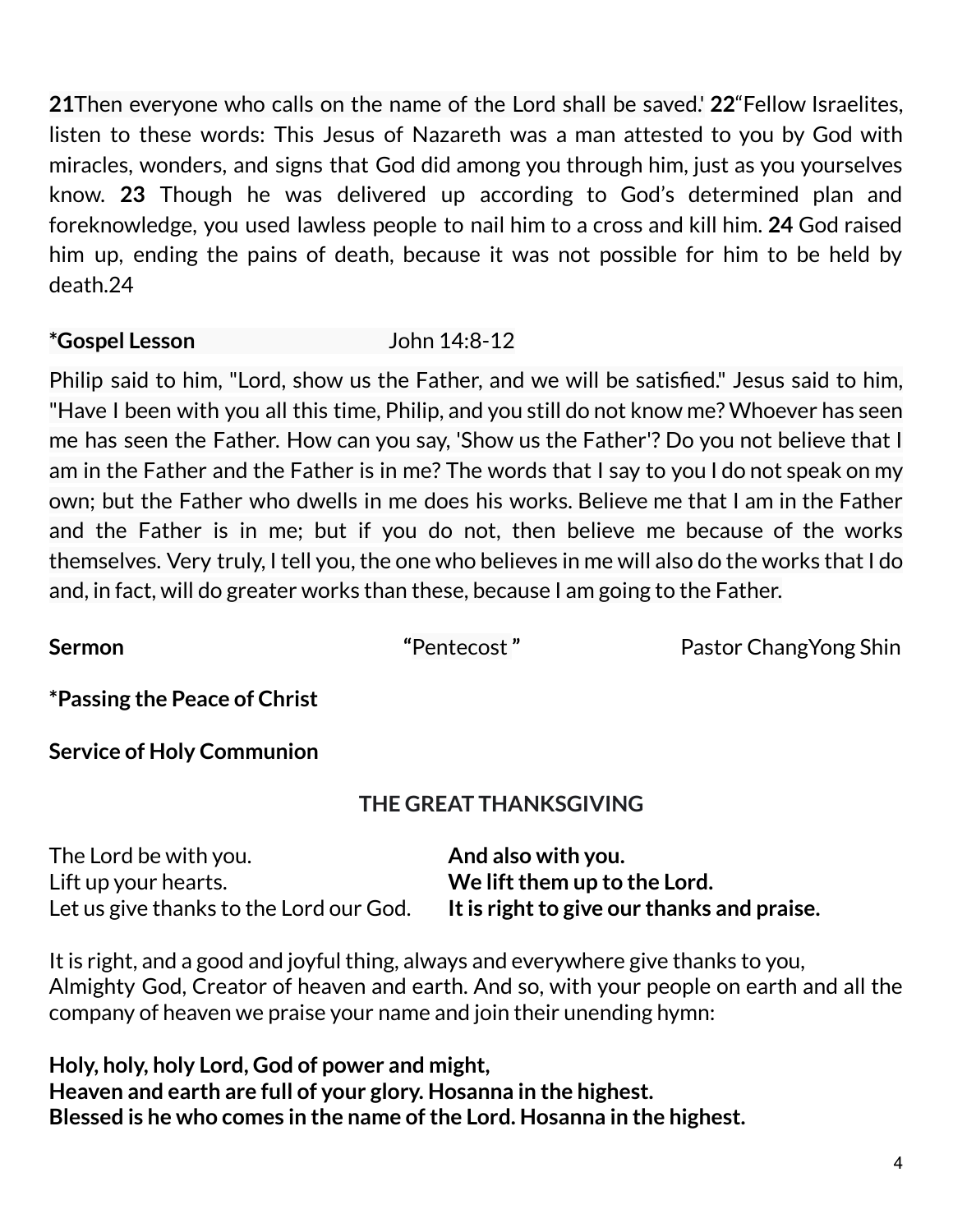**21**Then everyone who calls on the name of the Lord shall be saved.' **22**"Fellow Israelites, listen to these words: This Jesus of Nazareth was a man attested to you by God with miracles, wonders, and signs that God did among you through him, just as you yourselves know. **23** Though he was delivered up according to God's determined plan and foreknowledge, you used lawless people to nail him to a cross and kill him. **24** God raised him up, ending the pains of death, because it was not possible for him to be held by death.24

## **\*Gospel Lesson** John 14:8-12

Philip said to him, "Lord, show us the Father, and we will be satisfied." Jesus said to him, "Have I been with you all this time, Philip, and you still do not know me? Whoever has seen me has seen the Father. How can you say, 'Show us the Father'? Do you not believe that I am in the Father and the Father is in me? The words that I say to you I do not speak on my own; but the Father who dwells in me does his works. Believe me that I am in the Father and the Father is in me; but if you do not, then believe me because of the works themselves. Very truly, I tell you, the one who believes in me will also do the works that I do and, in fact, will do greater works than these, because I am going to the Father.

**Sermon "**Pentecost**"** Pastor ChangYong Shin

**\*Passing the Peace of Christ**

**Service of Holy Communion**

## **THE GREAT THANKSGIVING**

The Lord be with you. **And also with you. We lift up** your hearts. **We lift them up to the Lord.** Let us give thanks to the Lord our God. It is right to give our thanks and praise.

It is right, and a good and joyful thing, always and everywhere give thanks to you, Almighty God, Creator of heaven and earth. And so, with your people on earth and all the company of heaven we praise your name and join their unending hymn:

**Holy, holy, holy Lord, God of power and might, Heaven and earth are full of your glory. Hosanna in the highest. Blessed is he who comes in the name ofthe Lord. Hosanna in the highest.**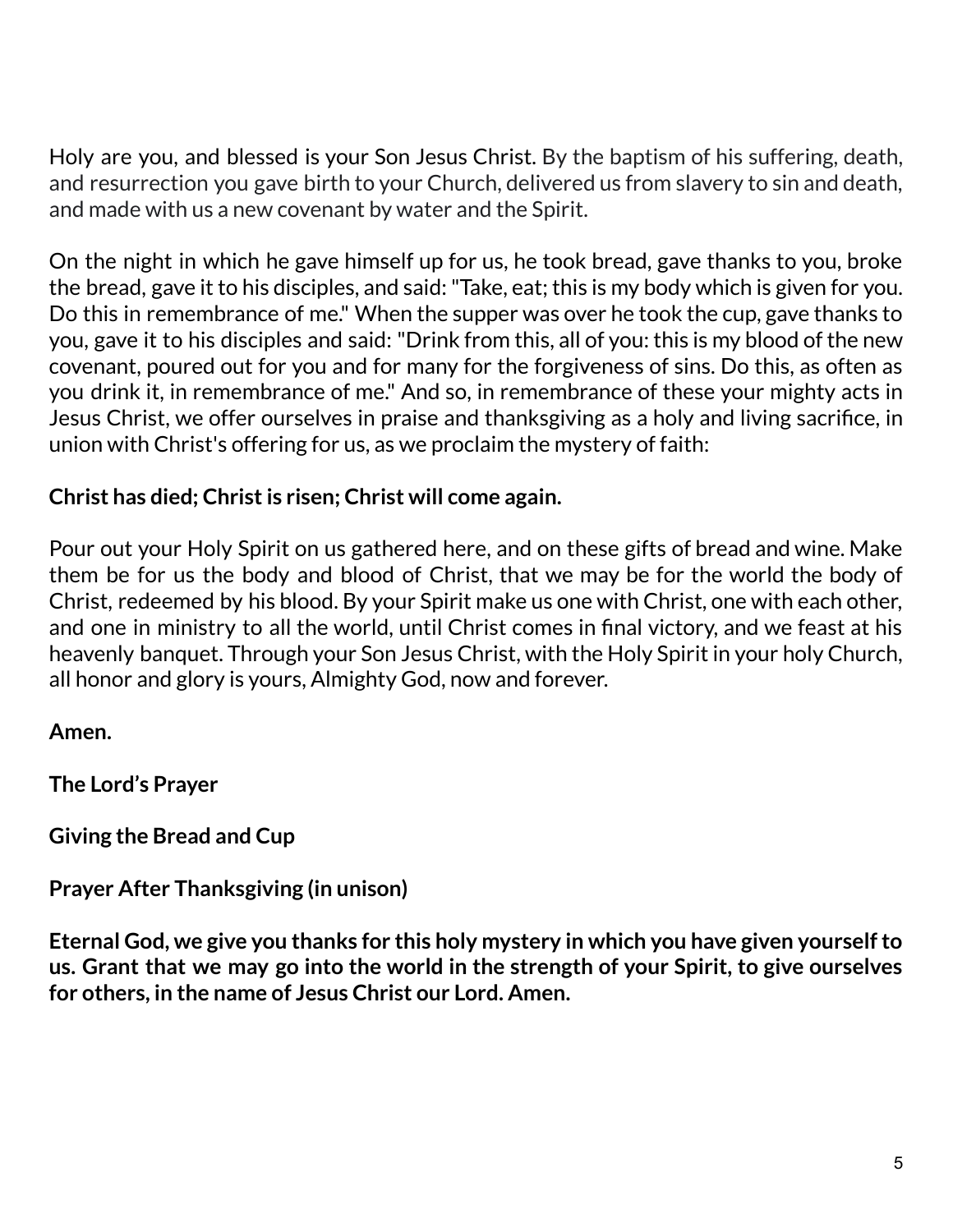Holy are you, and blessed is your Son Jesus Christ. By the baptism of his suffering, death, and resurrection you gave birth to your Church, delivered us from slavery to sin and death, and made with us a new covenant by water and the Spirit.

On the night in which he gave himself up for us, he took bread, gave thanks to you, broke the bread, gave it to his disciples, and said:"Take, eat; this is my body which is given for you. Do this in remembrance of me." When the supper was over he took the cup, gave thanks to you, gave it to his disciples and said: "Drink from this, all of you: this is my blood of the new covenant, poured out for you and for many for the forgiveness of sins. Do this, as often as you drink it, in remembrance of me." And so, in remembrance of these your mighty acts in Jesus Christ, we offer ourselves in praise and thanksgiving as a holy and living sacrifice, in union with Christ's offering for us, as we proclaim the mystery of faith:

## **Christ has died; Christis risen; Christ will come again.**

Pour out your Holy Spirit on us gathered here, and on these gifts of bread and wine. Make them be for us the body and blood of Christ, that we may be for the world the body of Christ, redeemed by his blood. By your Spirit make us one with Christ, one with each other, and one in ministry to all the world, until Christ comes in final victory, and we feast at his heavenly banquet. Through your Son Jesus Christ, with the Holy Spirit in your holy Church, all honor and glory is yours, Almighty God, now and forever.

**Amen.**

**The Lord's Prayer**

**Giving the Bread and Cup**

**Prayer After Thanksgiving (in unison)**

**Eternal God, we give you thanks for this holy mystery in which you have given yourselfto us. Grant that we may go into the world in the strength of your Spirit, to give ourselves for others, in the name of Jesus Christ our Lord. Amen.**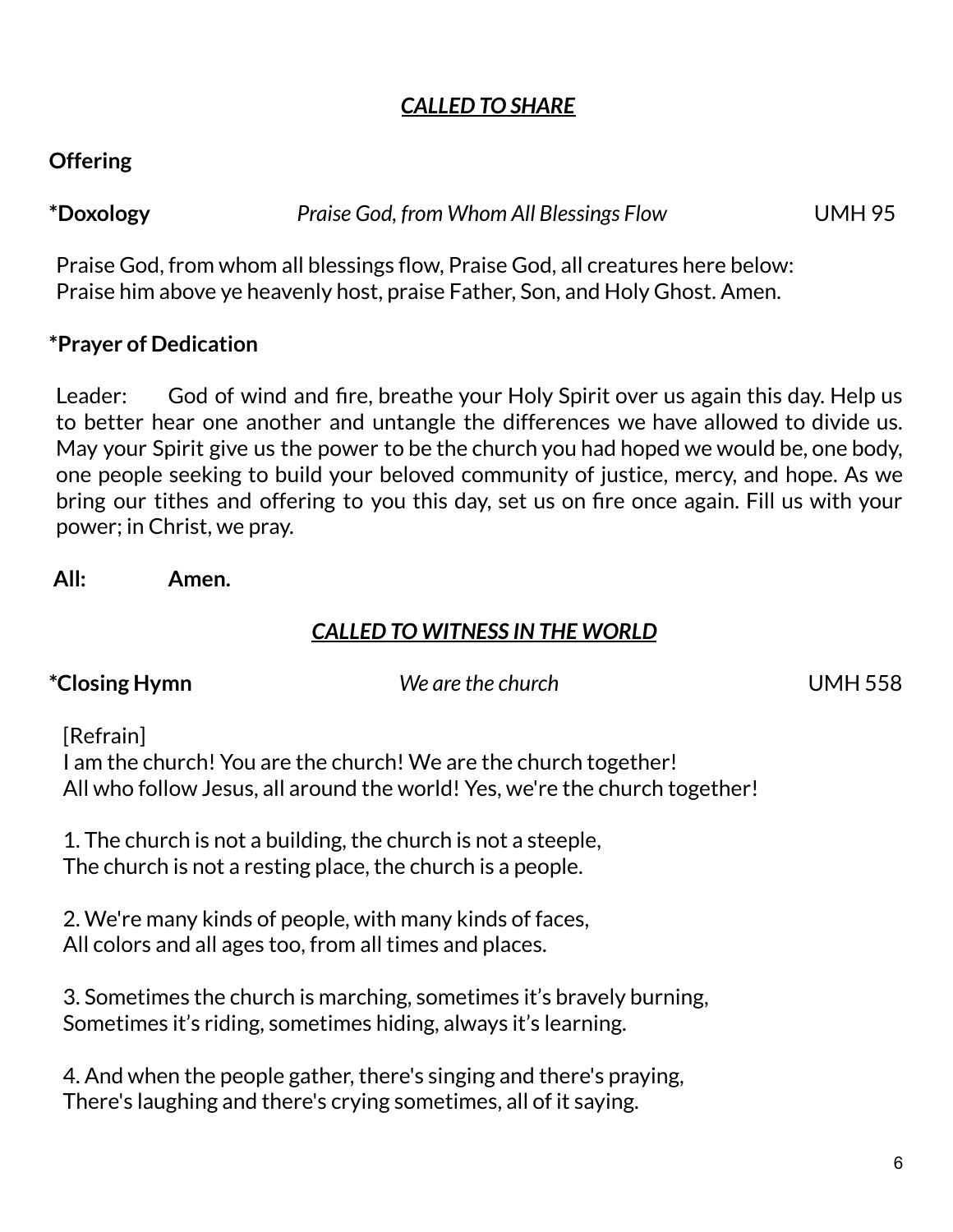## *CALLED TO SHARE*

## **Offering**

**\*Doxology** *Praise God, from Whom All Blessings Flow* UMH 95

Praise God, from whom all blessings flow, Praise God, all creatures here below: Praise him above ye heavenly host, praise Father, Son, and Holy Ghost. Amen.

## **\*Prayer of Dedication**

Leader: God of wind and fire, breathe your Holy Spirit over us again this day. Help us to better hear one another and untangle the differences we have allowed to divide us. May your Spirit give us the power to be the church you had hoped we would be, one body, one people seeking to build your beloved community of justice, mercy, and hope. As we bring our tithes and offering to you this day, set us on fire once again. Fill us with your power; in Christ, we pray.

#### **All: Amen.**

## *CALLED TO WITNESS IN THE WORLD*

**\*Closing Hymn** *We are the church* UMH 558

#### [Refrain]

I am the church! You are the church! We are the church together! All who follow Jesus, all around the world! Yes, we're the church together!

1. The church is not a building, the church is not a steeple, The church is not a resting place, the church is a people.

2. We're many kinds of people, with many kinds of faces, All colors and all ages too, from all times and places.

3. Sometimes the church is marching, sometimes it's bravely burning, Sometimes it's riding, sometimes hiding, always it's learning.

4. And when the people gather, there's singing and there's praying, There's laughing and there's crying sometimes, all of it saying.